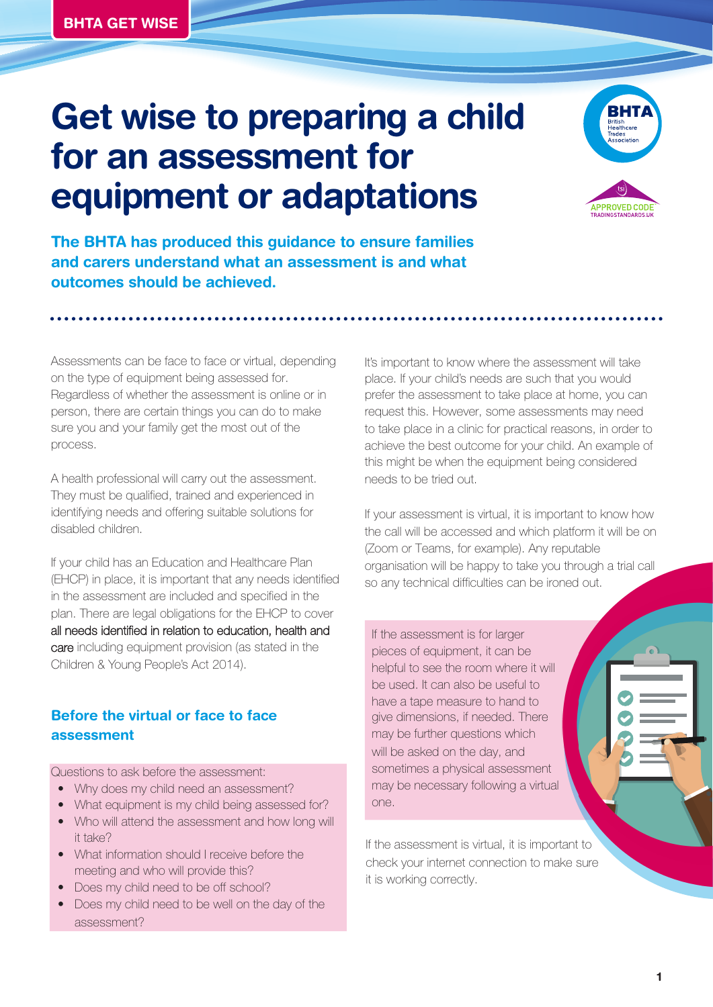# **Get wise to preparing a child for an assessment for equipment or adaptations**



**The BHTA has produced this guidance to ensure families and carers understand what an assessment is and what outcomes should be achieved.** 

Assessments can be face to face or virtual, depending on the type of equipment being assessed for. Regardless of whether the assessment is online or in person, there are certain things you can do to make sure you and your family get the most out of the process.

A health professional will carry out the assessment. They must be qualified, trained and experienced in identifying needs and offering suitable solutions for disabled children.

If your child has an Education and Healthcare Plan (EHCP) in place, it is important that any needs identified in the assessment are included and specified in the plan. There are legal obligations for the EHCP to cover all needs identified in relation to education, health and care including equipment provision (as stated in the Children & Young People's Act 2014).

# **Before the** virtual or face to face **assessment**

Questions to ask before the assessment:

- Why does my child need an assessment?
- What equipment is my child being assessed for?
- Who will attend the assessment and how long will it take?
- What information should I receive before the meeting and who will provide this?
- Does my child need to be off school?
- Does my child need to be well on the day of the assessment?

It's important to know where the assessment will take place. If your child's needs are such that you would prefer the assessment to take place at home, you can request this. However, some assessments may need to take place in a clinic for practical reasons, in order to achieve the best outcome for your child. An example of this might be when the equipment being considered needs to be tried out.

If your assessment is virtual, it is important to know how the call will be accessed and which platform it will be on (Zoom or Teams, for example). Any reputable organisation will be happy to take you through a trial call so any technical difficulties can be ironed out.

If the assessment is for larger pieces of equipment, it can be helpful to see the room where it will be used. It can also be useful to have a tape measure to hand to give dimensions, if needed. There may be further questions which will be asked on the day, and sometimes a physical assessment may be necessary following a virtual one.

If the assessment is virtual, it is important to check your internet connection to make sure it is working correctly.